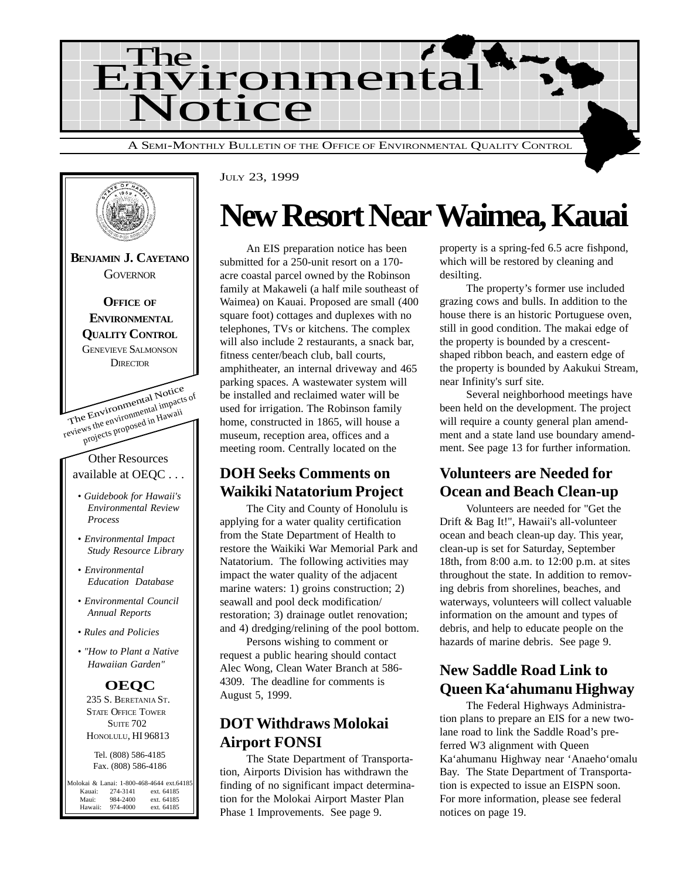



JULY 23, 1999

## **New Resort Near Waimea, Kauai**

An EIS preparation notice has been submitted for a 250-unit resort on a 170 acre coastal parcel owned by the Robinson family at Makaweli (a half mile southeast of Waimea) on Kauai. Proposed are small (400 square foot) cottages and duplexes with no telephones, TVs or kitchens. The complex will also include 2 restaurants, a snack bar, fitness center/beach club, ball courts, amphitheater, an internal driveway and 465 parking spaces. A wastewater system will be installed and reclaimed water will be used for irrigation. The Robinson family home, constructed in 1865, will house a museum, reception area, offices and a meeting room. Centrally located on the

## **DOH Seeks Comments on Waikiki Natatorium Project**

The City and County of Honolulu is applying for a water quality certification from the State Department of Health to restore the Waikiki War Memorial Park and Natatorium. The following activities may impact the water quality of the adjacent marine waters: 1) groins construction; 2) seawall and pool deck modification/ restoration; 3) drainage outlet renovation; and 4) dredging/relining of the pool bottom.

Persons wishing to comment or request a public hearing should contact Alec Wong, Clean Water Branch at 586- 4309. The deadline for comments is August 5, 1999.

## **DOT Withdraws Molokai Airport FONSI**

The State Department of Transportation, Airports Division has withdrawn the finding of no significant impact determination for the Molokai Airport Master Plan Phase 1 Improvements. See page 9.

property is a spring-fed 6.5 acre fishpond, which will be restored by cleaning and desilting.

The property's former use included grazing cows and bulls. In addition to the house there is an historic Portuguese oven, still in good condition. The makai edge of the property is bounded by a crescentshaped ribbon beach, and eastern edge of the property is bounded by Aakukui Stream, near Infinity's surf site.

Several neighborhood meetings have been held on the development. The project will require a county general plan amendment and a state land use boundary amendment. See page 13 for further information.

## **Volunteers are Needed for Ocean and Beach Clean-up**

Volunteers are needed for "Get the Drift & Bag It!", Hawaii's all-volunteer ocean and beach clean-up day. This year, clean-up is set for Saturday, September 18th, from 8:00 a.m. to 12:00 p.m. at sites throughout the state. In addition to removing debris from shorelines, beaches, and waterways, volunteers will collect valuable information on the amount and types of debris, and help to educate people on the hazards of marine debris. See page 9.

## **New Saddle Road Link to Queen Ka'ahumanu Highway**

The Federal Highways Administration plans to prepare an EIS for a new twolane road to link the Saddle Road's preferred W3 alignment with Queen Ka'ahumanu Highway near 'Anaeho'omalu Bay. The State Department of Transportation is expected to issue an EISPN soon. For more information, please see federal notices on page 19.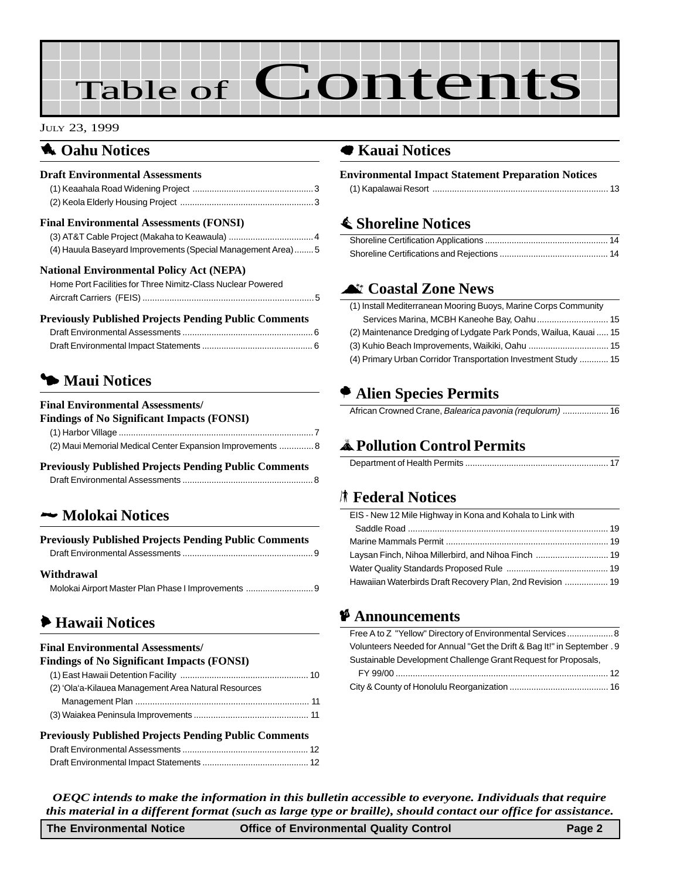# Table of Contents

#### JULY 23, 1999

### **1** Oahu Notices

#### **Draft Environmental Assessments**

#### **Final Environmental Assessments (FONSI)**

| (4) Hauula Baseyard Improvements (Special Management Area) 5 |
|--------------------------------------------------------------|
|                                                              |

#### **National Environmental Policy Act (NEPA)**

| Home Port Facilities for Three Nimitz-Class Nuclear Powered |  |
|-------------------------------------------------------------|--|
|                                                             |  |

#### **Previously Published Projects Pending Public Comments**

## **5 Maui Notices**

#### **Final Environmental Assessments/**

| Findings of No Significant Impacts (FONSI)                 |  |
|------------------------------------------------------------|--|
|                                                            |  |
| (2) Maui Memorial Medical Center Expansion Improvements  8 |  |

#### **Previously Published Projects Pending Public Comments**

### 2 **Molokai Notices**

| <b>Previously Published Projects Pending Public Comments</b> |  |
|--------------------------------------------------------------|--|
|                                                              |  |
| Withdrawal                                                   |  |

## 6 **Hawaii Notices**

#### **Final Environmental Assessments/**

| <b>Findings of No Significant Impacts (FONSI)</b>    |  |
|------------------------------------------------------|--|
|                                                      |  |
| (2) 'Ola'a-Kilauea Management Area Natural Resources |  |
|                                                      |  |
|                                                      |  |
|                                                      |  |

#### **Previously Published Projects Pending Public Comments**

### 7 **Kauai Notices**

| <b>Environmental Impact Statement Preparation Notices</b> |  |
|-----------------------------------------------------------|--|
|                                                           |  |

## s **Shoreline Notices**

## ^ **Coastal Zone News**

| (1) Install Mediterranean Mooring Buoys, Marine Corps Community   |  |
|-------------------------------------------------------------------|--|
| Services Marina, MCBH Kaneohe Bay, Oahu  15                       |  |
| (2) Maintenance Dredging of Lydgate Park Ponds, Wailua, Kauai  15 |  |
|                                                                   |  |
| (4) Primary Urban Corridor Transportation Investment Study  15    |  |

## A **Alien Species Permits**

| African Crowned Crane, Balearica pavonia (requlorum)  16 |  |
|----------------------------------------------------------|--|

## V**Pollution Control Permits**

|--|--|

### S **Federal Notices**

| EIS - New 12 Mile Highway in Kona and Kohala to Link with |  |
|-----------------------------------------------------------|--|
|                                                           |  |
|                                                           |  |
|                                                           |  |
|                                                           |  |
| Hawaiian Waterbirds Draft Recovery Plan, 2nd Revision  19 |  |
|                                                           |  |

### C **Announcements**

| Free A to Z "Yellow" Directory of Environmental Services 8              |
|-------------------------------------------------------------------------|
| Volunteers Needed for Annual "Get the Drift & Bag It!" in September . 9 |
| Sustainable Development Challenge Grant Request for Proposals,          |
|                                                                         |
|                                                                         |

*OEQC intends to make the information in this bulletin accessible to everyone. Individuals that require this material in a different format (such as large type or braille), should contact our office for assistance.*

| <b>The Environmental Notice</b> | <b>Office of Environmental Quality Control</b> | Page 2 |
|---------------------------------|------------------------------------------------|--------|
|                                 |                                                |        |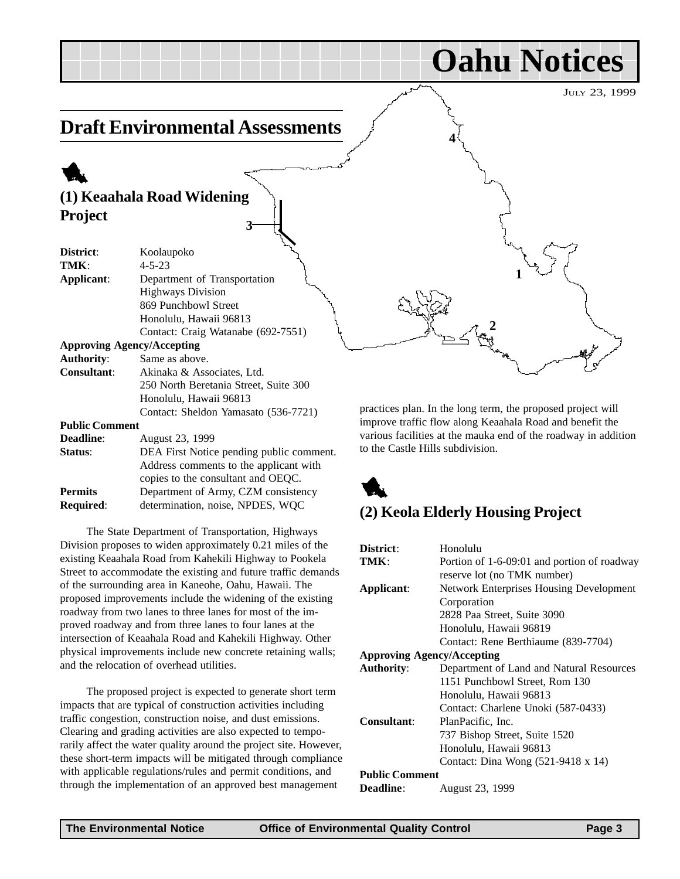JULY 23, 1999

**Oahu Notices**

## **Draft Environmental Assessments**

## 1 **(1) Keaahala Road Widening Project 3**

| District:             | Koolaupoko                                           |
|-----------------------|------------------------------------------------------|
| TMK:                  | $4 - 5 - 23$                                         |
| Applicant:            | Department of Transportation                         |
|                       | <b>Highways Division</b>                             |
|                       | 869 Punchbowl Street                                 |
|                       | Honolulu, Hawaii 96813                               |
|                       | Contact: Craig Watanabe (692-7551)                   |
|                       | <b>Approving Agency/Accepting</b>                    |
| <b>Authority:</b>     | Same as above.                                       |
| <b>Consultant:</b>    | Akinaka & Associates, Ltd.                           |
|                       | 250 North Beretania Street, Suite 300                |
|                       | Honolulu, Hawaii 96813                               |
|                       | Contact: Sheldon Yamasato (536-7721)                 |
| <b>Public Comment</b> |                                                      |
| Deadline:             | August 23, 1999                                      |
| Status:               | DEA First Notice pending public comment.             |
|                       | Address comments to the applicant with               |
|                       | $\alpha$ and $\alpha$ to the concultant and $\alpha$ |

copies to the consultant and OEQC. **Permits** Department of Army, CZM consistency **Required**: determination, noise, NPDES, WQC

The State Department of Transportation, Highways Division proposes to widen approximately 0.21 miles of the existing Keaahala Road from Kahekili Highway to Pookela Street to accommodate the existing and future traffic demands of the surrounding area in Kaneohe, Oahu, Hawaii. The proposed improvements include the widening of the existing roadway from two lanes to three lanes for most of the improved roadway and from three lanes to four lanes at the intersection of Keaahala Road and Kahekili Highway. Other physical improvements include new concrete retaining walls; and the relocation of overhead utilities.

The proposed project is expected to generate short term impacts that are typical of construction activities including traffic congestion, construction noise, and dust emissions. Clearing and grading activities are also expected to temporarily affect the water quality around the project site. However, these short-term impacts will be mitigated through compliance with applicable regulations/rules and permit conditions, and through the implementation of an approved best management

practices plan. In the long term, the proposed project will improve traffic flow along Keaahala Road and benefit the various facilities at the mauka end of the roadway in addition to the Castle Hills subdivision.

**2**

**4**

**1**

## 1

## **(2) Keola Elderly Housing Project**

| District:                         | Honolulu                                       |
|-----------------------------------|------------------------------------------------|
|                                   |                                                |
| TMK:                              | Portion of 1-6-09:01 and portion of roadway    |
|                                   | reserve lot (no TMK number)                    |
| Applicant:                        | <b>Network Enterprises Housing Development</b> |
|                                   | Corporation                                    |
|                                   | 2828 Paa Street, Suite 3090                    |
|                                   | Honolulu, Hawaii 96819                         |
|                                   | Contact: Rene Berthiaume (839-7704)            |
| <b>Approving Agency/Accepting</b> |                                                |
| <b>Authority:</b>                 | Department of Land and Natural Resources       |
|                                   | 1151 Punchbowl Street, Rom 130                 |
|                                   | Honolulu, Hawaii 96813                         |
|                                   | Contact: Charlene Unoki (587-0433)             |
| Consultant:                       | PlanPacific, Inc.                              |
|                                   | 737 Bishop Street, Suite 1520                  |
|                                   | Honolulu, Hawaii 96813                         |
|                                   | Contact: Dina Wong (521-9418 x 14)             |
| <b>Public Comment</b>             |                                                |
| <b>Deadline:</b>                  | August 23, 1999                                |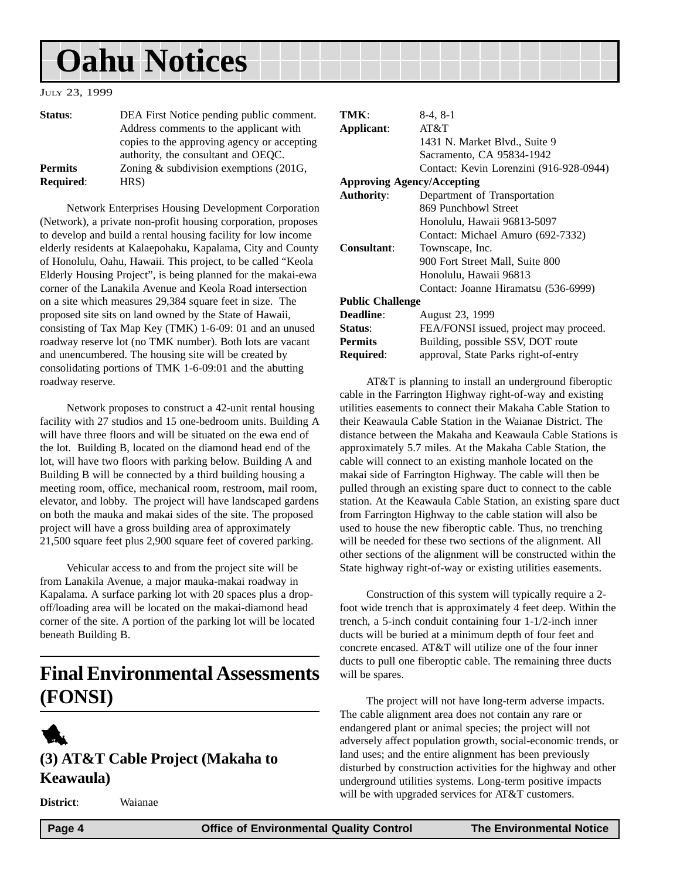## **Oahu Notices**

#### JULY 23, 1999

| Status:          | DEA First Notice pending public comment.    |
|------------------|---------------------------------------------|
|                  | Address comments to the applicant with      |
|                  | copies to the approving agency or accepting |
|                  | authority, the consultant and OEQC.         |
| <b>Permits</b>   | Zoning $&$ subdivision exemptions (201G,    |
| <b>Required:</b> | HRS)                                        |

Network Enterprises Housing Development Corporation (Network), a private non-profit housing corporation, proposes to develop and build a rental housing facility for low income elderly residents at Kalaepohaku, Kapalama, City and County of Honolulu, Oahu, Hawaii. This project, to be called "Keola Elderly Housing Project", is being planned for the makai-ewa corner of the Lanakila Avenue and Keola Road intersection on a site which measures 29,384 square feet in size. The proposed site sits on land owned by the State of Hawaii, consisting of Tax Map Key (TMK) 1-6-09: 01 and an unused roadway reserve lot (no TMK number). Both lots are vacant and unencumbered. The housing site will be created by consolidating portions of TMK 1-6-09:01 and the abutting roadway reserve.

Network proposes to construct a 42-unit rental housing facility with 27 studios and 15 one-bedroom units. Building A will have three floors and will be situated on the ewa end of the lot. Building B, located on the diamond head end of the lot, will have two floors with parking below. Building A and Building B will be connected by a third building housing a meeting room, office, mechanical room, restroom, mail room, elevator, and lobby. The project will have landscaped gardens on both the mauka and makai sides of the site. The proposed project will have a gross building area of approximately 21,500 square feet plus 2,900 square feet of covered parking.

Vehicular access to and from the project site will be from Lanakila Avenue, a major mauka-makai roadway in Kapalama. A surface parking lot with 20 spaces plus a dropoff/loading area will be located on the makai-diamond head corner of the site. A portion of the parking lot will be located beneath Building B.

## **Final Environmental Assessments (FONSI)**

## 1 **(3) AT&T Cable Project (Makaha to Keawaula)**

**District**: Waianae

| TMK:                              | 8-4, 8-1                                |
|-----------------------------------|-----------------------------------------|
| Applicant:                        | AT&T                                    |
|                                   | 1431 N. Market Blvd., Suite 9           |
|                                   | Sacramento, CA 95834-1942               |
|                                   | Contact: Kevin Lorenzini (916-928-0944) |
| <b>Approving Agency/Accepting</b> |                                         |
| <b>Authority:</b>                 | Department of Transportation            |
|                                   | 869 Punchbowl Street                    |
|                                   | Honolulu, Hawaii 96813-5097             |
|                                   | Contact: Michael Amuro (692-7332)       |
| Consultant:                       | Townscape, Inc.                         |
|                                   | 900 Fort Street Mall, Suite 800         |
|                                   | Honolulu, Hawaii 96813                  |
|                                   | Contact: Joanne Hiramatsu (536-6999)    |
| <b>Public Challenge</b>           |                                         |
| <b>Deadline:</b>                  | August 23, 1999                         |
| Status:                           | FEA/FONSI issued, project may proceed.  |
| <b>Permits</b>                    | Building, possible SSV, DOT route       |
| Required:                         | approval, State Parks right-of-entry    |
|                                   |                                         |

AT&T is planning to install an underground fiberoptic cable in the Farrington Highway right-of-way and existing utilities easements to connect their Makaha Cable Station to their Keawaula Cable Station in the Waianae District. The distance between the Makaha and Keawaula Cable Stations is approximately 5.7 miles. At the Makaha Cable Station, the cable will connect to an existing manhole located on the makai side of Farrington Highway. The cable will then be pulled through an existing spare duct to connect to the cable station. At the Keawaula Cable Station, an existing spare duct from Farrington Highway to the cable station will also be used to house the new fiberoptic cable. Thus, no trenching will be needed for these two sections of the alignment. All other sections of the alignment will be constructed within the State highway right-of-way or existing utilities easements.

Construction of this system will typically require a 2 foot wide trench that is approximately 4 feet deep. Within the trench, a 5-inch conduit containing four 1-1/2-inch inner ducts will be buried at a minimum depth of four feet and concrete encased. AT&T will utilize one of the four inner ducts to pull one fiberoptic cable. The remaining three ducts will be spares.

The project will not have long-term adverse impacts. The cable alignment area does not contain any rare or endangered plant or animal species; the project will not adversely affect population growth, social-economic trends, or land uses; and the entire alignment has been previously disturbed by construction activities for the highway and other underground utilities systems. Long-term positive impacts will be with upgraded services for AT&T customers.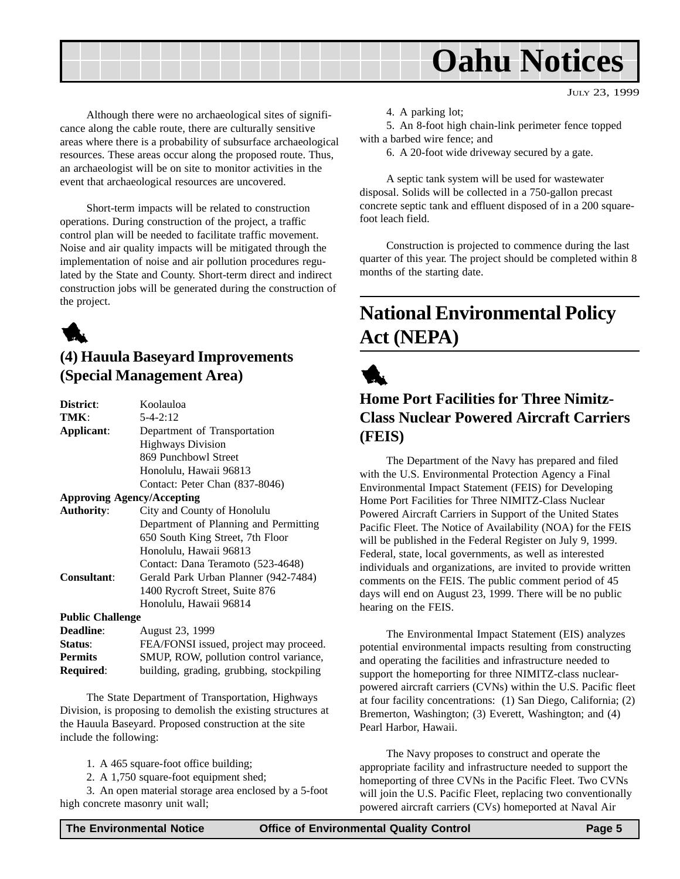

JULY 23, 1999

Although there were no archaeological sites of significance along the cable route, there are culturally sensitive areas where there is a probability of subsurface archaeological resources. These areas occur along the proposed route. Thus, an archaeologist will be on site to monitor activities in the event that archaeological resources are uncovered.

Short-term impacts will be related to construction operations. During construction of the project, a traffic control plan will be needed to facilitate traffic movement. Noise and air quality impacts will be mitigated through the implementation of noise and air pollution procedures regulated by the State and County. Short-term direct and indirect construction jobs will be generated during the construction of the project.

## 1

## **(4) Hauula Baseyard Improvements (Special Management Area)**

| District:               | Koolauloa                              |
|-------------------------|----------------------------------------|
| TMK:                    | $5 - 4 - 2:12$                         |
| Applicant:              | Department of Transportation           |
|                         | <b>Highways Division</b>               |
|                         | 869 Punchbowl Street                   |
|                         | Honolulu, Hawaii 96813                 |
|                         | Contact: Peter Chan (837-8046)         |
|                         | <b>Approving Agency/Accepting</b>      |
| <b>Authority:</b>       | City and County of Honolulu            |
|                         | Department of Planning and Permitting  |
|                         | 650 South King Street, 7th Floor       |
|                         | Honolulu, Hawaii 96813                 |
|                         | Contact: Dana Teramoto (523-4648)      |
| <b>Consultant:</b>      | Gerald Park Urban Planner (942-7484)   |
|                         | 1400 Rycroft Street, Suite 876         |
|                         | Honolulu, Hawaii 96814                 |
| <b>Public Challenge</b> |                                        |
| <b>Deadline:</b>        | August 23, 1999                        |
| Status:                 | FEA/FONSI issued, project may proceed. |
| n .                     | $\alpha$                               |

**Permits** SMUP, ROW, pollution control variance, **Required:** building, grading, grubbing, stockpiling

The State Department of Transportation, Highways Division, is proposing to demolish the existing structures at the Hauula Baseyard. Proposed construction at the site include the following:

1. A 465 square-foot office building;

2. A 1,750 square-foot equipment shed;

3. An open material storage area enclosed by a 5-foot high concrete masonry unit wall;

5. An 8-foot high chain-link perimeter fence topped with a barbed wire fence; and

6. A 20-foot wide driveway secured by a gate.

A septic tank system will be used for wastewater disposal. Solids will be collected in a 750-gallon precast concrete septic tank and effluent disposed of in a 200 squarefoot leach field.

Construction is projected to commence during the last quarter of this year. The project should be completed within 8 months of the starting date.

## **National Environmental Policy Act (NEPA)**



## **Home Port Facilities for Three Nimitz-Class Nuclear Powered Aircraft Carriers (FEIS)**

The Department of the Navy has prepared and filed with the U.S. Environmental Protection Agency a Final Environmental Impact Statement (FEIS) for Developing Home Port Facilities for Three NIMITZ-Class Nuclear Powered Aircraft Carriers in Support of the United States Pacific Fleet. The Notice of Availability (NOA) for the FEIS will be published in the Federal Register on July 9, 1999. Federal, state, local governments, as well as interested individuals and organizations, are invited to provide written comments on the FEIS. The public comment period of 45 days will end on August 23, 1999. There will be no public hearing on the FEIS.

The Environmental Impact Statement (EIS) analyzes potential environmental impacts resulting from constructing and operating the facilities and infrastructure needed to support the homeporting for three NIMITZ-class nuclearpowered aircraft carriers (CVNs) within the U.S. Pacific fleet at four facility concentrations: (1) San Diego, California; (2) Bremerton, Washington; (3) Everett, Washington; and (4) Pearl Harbor, Hawaii.

The Navy proposes to construct and operate the appropriate facility and infrastructure needed to support the homeporting of three CVNs in the Pacific Fleet. Two CVNs will join the U.S. Pacific Fleet, replacing two conventionally powered aircraft carriers (CVs) homeported at Naval Air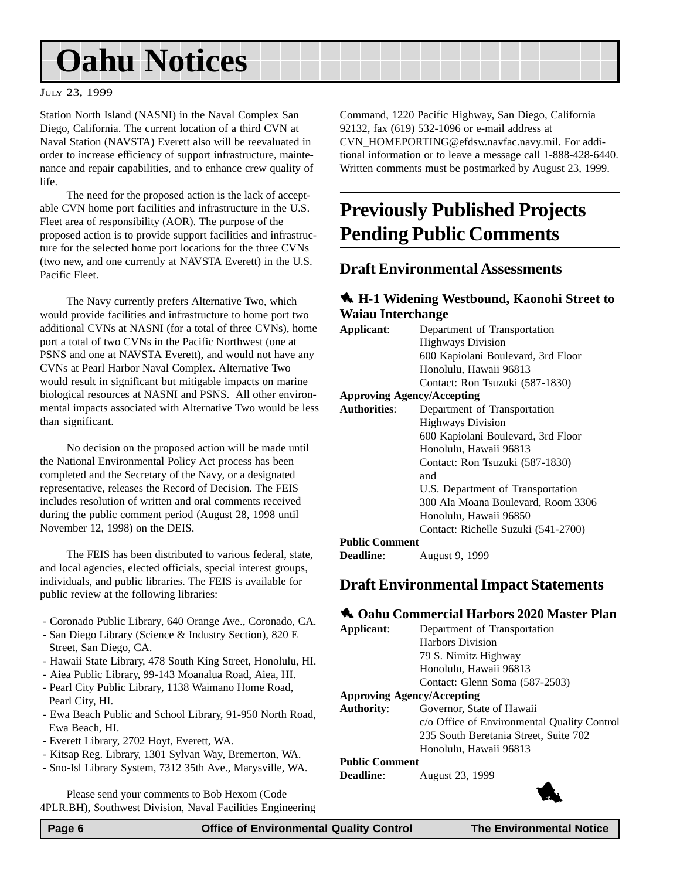## **Oahu Notices**

#### JULY 23, 1999

Station North Island (NASNI) in the Naval Complex San Diego, California. The current location of a third CVN at Naval Station (NAVSTA) Everett also will be reevaluated in order to increase efficiency of support infrastructure, maintenance and repair capabilities, and to enhance crew quality of life.

The need for the proposed action is the lack of acceptable CVN home port facilities and infrastructure in the U.S. Fleet area of responsibility (AOR). The purpose of the proposed action is to provide support facilities and infrastructure for the selected home port locations for the three CVNs (two new, and one currently at NAVSTA Everett) in the U.S. Pacific Fleet.

The Navy currently prefers Alternative Two, which would provide facilities and infrastructure to home port two additional CVNs at NASNI (for a total of three CVNs), home port a total of two CVNs in the Pacific Northwest (one at PSNS and one at NAVSTA Everett), and would not have any CVNs at Pearl Harbor Naval Complex. Alternative Two would result in significant but mitigable impacts on marine biological resources at NASNI and PSNS. All other environmental impacts associated with Alternative Two would be less than significant.

No decision on the proposed action will be made until the National Environmental Policy Act process has been completed and the Secretary of the Navy, or a designated representative, releases the Record of Decision. The FEIS includes resolution of written and oral comments received during the public comment period (August 28, 1998 until November 12, 1998) on the DEIS.

The FEIS has been distributed to various federal, state, and local agencies, elected officials, special interest groups, individuals, and public libraries. The FEIS is available for public review at the following libraries:

- Coronado Public Library, 640 Orange Ave., Coronado, CA.
- San Diego Library (Science & Industry Section), 820 E Street, San Diego, CA.
- Hawaii State Library, 478 South King Street, Honolulu, HI.
- Aiea Public Library, 99-143 Moanalua Road, Aiea, HI.
- Pearl City Public Library, 1138 Waimano Home Road, Pearl City, HI.
- Ewa Beach Public and School Library, 91-950 North Road, Ewa Beach, HI.
- Everett Library, 2702 Hoyt, Everett, WA.
- Kitsap Reg. Library, 1301 Sylvan Way, Bremerton, WA.
- Sno-Isl Library System, 7312 35th Ave., Marysville, WA.

Please send your comments to Bob Hexom (Code 4PLR.BH), Southwest Division, Naval Facilities Engineering

Command, 1220 Pacific Highway, San Diego, California 92132, fax (619) 532-1096 or e-mail address at CVN\_HOMEPORTING@efdsw.navfac.navy.mil. For additional information or to leave a message call 1-888-428-6440. Written comments must be postmarked by August 23, 1999.

## **Previously Published Projects Pending Public Comments**

### **Draft Environmental Assessments**

#### 1 **H-1 Widening Westbound, Kaonohi Street to Waiau Interchange**

| Applicant:          | Department of Transportation        |
|---------------------|-------------------------------------|
|                     | <b>Highways Division</b>            |
|                     | 600 Kapiolani Boulevard, 3rd Floor  |
|                     | Honolulu, Hawaii 96813              |
|                     | Contact: Ron Tsuzuki (587-1830)     |
|                     | <b>Approving Agency/Accepting</b>   |
| <b>Authorities:</b> | Department of Transportation        |
|                     | <b>Highways Division</b>            |
|                     | 600 Kapiolani Boulevard, 3rd Floor  |
|                     | Honolulu, Hawaii 96813              |
|                     | Contact: Ron Tsuzuki (587-1830)     |
|                     | and                                 |
|                     | U.S. Department of Transportation   |
|                     | 300 Ala Moana Boulevard, Room 3306  |
|                     | Honolulu, Hawaii 96850              |
|                     | Contact: Richelle Suzuki (541-2700) |
| .                   |                                     |

#### **Public Comment**

**Deadline**: August 9, 1999

### **Draft Environmental Impact Statements**

#### 1 **Oahu Commercial Harbors 2020 Master Plan**

- 
- **Applicant**: Department of Transportation Harbors Division 79 S. Nimitz Highway Honolulu, Hawaii 96813 Contact: Glenn Soma (587-2503)

#### **Approving Agency/Accepting**

**Authority**: Governor, State of Hawaii c/o Office of Environmental Quality Control 235 South Beretania Street, Suite 702 Honolulu, Hawaii 96813

#### **Public Comment**

**Deadline**: August 23, 1999

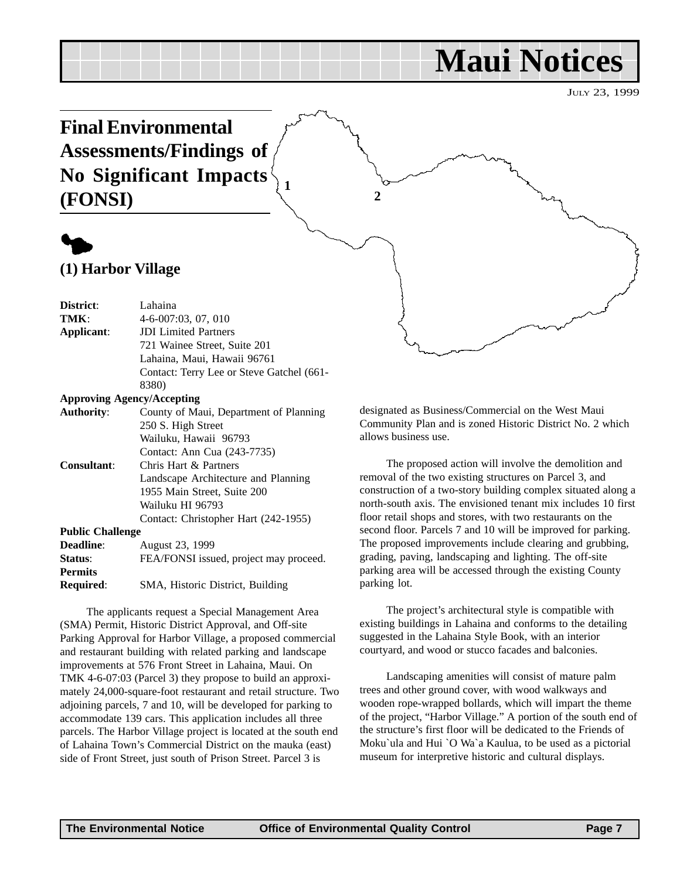## **Maui Notices**

JULY 23, 1999

**Final Environmental Assessments/Findings of No Significant Impacts (FONSI)**



**(1) Harbor Village**

| District:                         | Lahaina                                   |
|-----------------------------------|-------------------------------------------|
| TMK:                              | $4-6-007:03, 07, 010$                     |
| Applicant:                        | <b>JDI</b> Limited Partners               |
|                                   | 721 Wainee Street, Suite 201              |
|                                   | Lahaina, Maui, Hawaii 96761               |
|                                   | Contact: Terry Lee or Steve Gatchel (661- |
|                                   | 8380)                                     |
| <b>Approving Agency/Accepting</b> |                                           |
| <b>Authority:</b>                 | County of Maui, Department of Planning    |
|                                   | 250 S. High Street                        |
|                                   | Wailuku, Hawaii 96793                     |
|                                   | Contact: Ann Cua (243-7735)               |
| Consultant:                       | Chris Hart & Partners                     |
|                                   | Landscape Architecture and Planning       |
|                                   | 1955 Main Street, Suite 200               |
|                                   | Wailuku HI 96793                          |
|                                   | Contact: Christopher Hart (242-1955)      |
| <b>Public Challenge</b>           |                                           |
| <b>Deadline:</b>                  | August 23, 1999                           |
| Status:                           | FEA/FONSI issued, project may proceed.    |
| <b>Permits</b>                    |                                           |
| Required:                         | SMA, Historic District, Building          |

The applicants request a Special Management Area (SMA) Permit, Historic District Approval, and Off-site Parking Approval for Harbor Village, a proposed commercial and restaurant building with related parking and landscape improvements at 576 Front Street in Lahaina, Maui. On TMK 4-6-07:03 (Parcel 3) they propose to build an approximately 24,000-square-foot restaurant and retail structure. Two adjoining parcels, 7 and 10, will be developed for parking to accommodate 139 cars. This application includes all three parcels. The Harbor Village project is located at the south end of Lahaina Town's Commercial District on the mauka (east) side of Front Street, just south of Prison Street. Parcel 3 is

designated as Business/Commercial on the West Maui Community Plan and is zoned Historic District No. 2 which allows business use.

The proposed action will involve the demolition and removal of the two existing structures on Parcel 3, and construction of a two-story building complex situated along a north-south axis. The envisioned tenant mix includes 10 first floor retail shops and stores, with two restaurants on the second floor. Parcels 7 and 10 will be improved for parking. The proposed improvements include clearing and grubbing, grading, paving, landscaping and lighting. The off-site parking area will be accessed through the existing County parking lot.

The project's architectural style is compatible with existing buildings in Lahaina and conforms to the detailing suggested in the Lahaina Style Book, with an interior courtyard, and wood or stucco facades and balconies.

Landscaping amenities will consist of mature palm trees and other ground cover, with wood walkways and wooden rope-wrapped bollards, which will impart the theme of the project, "Harbor Village." A portion of the south end of the structure's first floor will be dedicated to the Friends of Moku`ula and Hui `O Wa`a Kaulua, to be used as a pictorial museum for interpretive historic and cultural displays.

**2**

**1**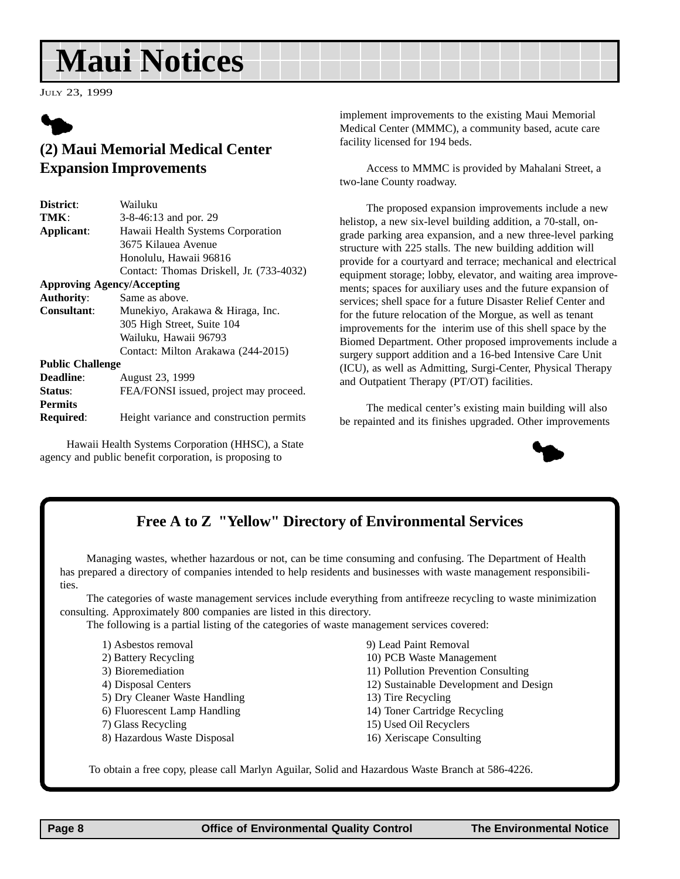## **Maui Notices**

JULY 23, 1999



## **(2) Maui Memorial Medical Center Expansion Improvements**

| District:                         | Wailuku                                  |
|-----------------------------------|------------------------------------------|
| TMK:                              | 3-8-46:13 and por. 29                    |
| Applicant:                        | Hawaii Health Systems Corporation        |
|                                   | 3675 Kilauea Avenue                      |
|                                   | Honolulu, Hawaii 96816                   |
|                                   | Contact: Thomas Driskell, Jr. (733-4032) |
| <b>Approving Agency/Accepting</b> |                                          |
| <b>Authority:</b>                 | Same as above.                           |
| <b>Consultant:</b>                | Munekiyo, Arakawa & Hiraga, Inc.         |
|                                   | 305 High Street, Suite 104               |
|                                   | Wailuku, Hawaii 96793                    |
|                                   | Contact: Milton Arakawa (244-2015)       |
| <b>Public Challenge</b>           |                                          |
| Deadline:                         | August 23, 1999                          |
| Status:                           | FEA/FONSI issued, project may proceed.   |
| <b>Permits</b>                    |                                          |
| <b>Required:</b>                  | Height variance and construction permits |

Hawaii Health Systems Corporation (HHSC), a State agency and public benefit corporation, is proposing to

implement improvements to the existing Maui Memorial Medical Center (MMMC), a community based, acute care facility licensed for 194 beds.

Access to MMMC is provided by Mahalani Street, a two-lane County roadway.

The proposed expansion improvements include a new helistop, a new six-level building addition, a 70-stall, ongrade parking area expansion, and a new three-level parking structure with 225 stalls. The new building addition will provide for a courtyard and terrace; mechanical and electrical equipment storage; lobby, elevator, and waiting area improvements; spaces for auxiliary uses and the future expansion of services; shell space for a future Disaster Relief Center and for the future relocation of the Morgue, as well as tenant improvements for the interim use of this shell space by the Biomed Department. Other proposed improvements include a surgery support addition and a 16-bed Intensive Care Unit (ICU), as well as Admitting, Surgi-Center, Physical Therapy and Outpatient Therapy (PT/OT) facilities.

The medical center's existing main building will also be repainted and its finishes upgraded. Other improvements



## **Free A to Z "Yellow" Directory of Environmental Services**

Managing wastes, whether hazardous or not, can be time consuming and confusing. The Department of Health has prepared a directory of companies intended to help residents and businesses with waste management responsibilities.

The categories of waste management services include everything from antifreeze recycling to waste minimization consulting. Approximately 800 companies are listed in this directory.

The following is a partial listing of the categories of waste management services covered:

- 1) Asbestos removal
- 2) Battery Recycling
- 3) Bioremediation
- 4) Disposal Centers
- 5) Dry Cleaner Waste Handling
- 6) Fluorescent Lamp Handling
- 7) Glass Recycling
- 8) Hazardous Waste Disposal
- 9) Lead Paint Removal
- 10) PCB Waste Management
- 11) Pollution Prevention Consulting
- 12) Sustainable Development and Design
- 13) Tire Recycling
- 14) Toner Cartridge Recycling
- 15) Used Oil Recyclers
- 16) Xeriscape Consulting

To obtain a free copy, please call Marlyn Aguilar, Solid and Hazardous Waste Branch at 586-4226.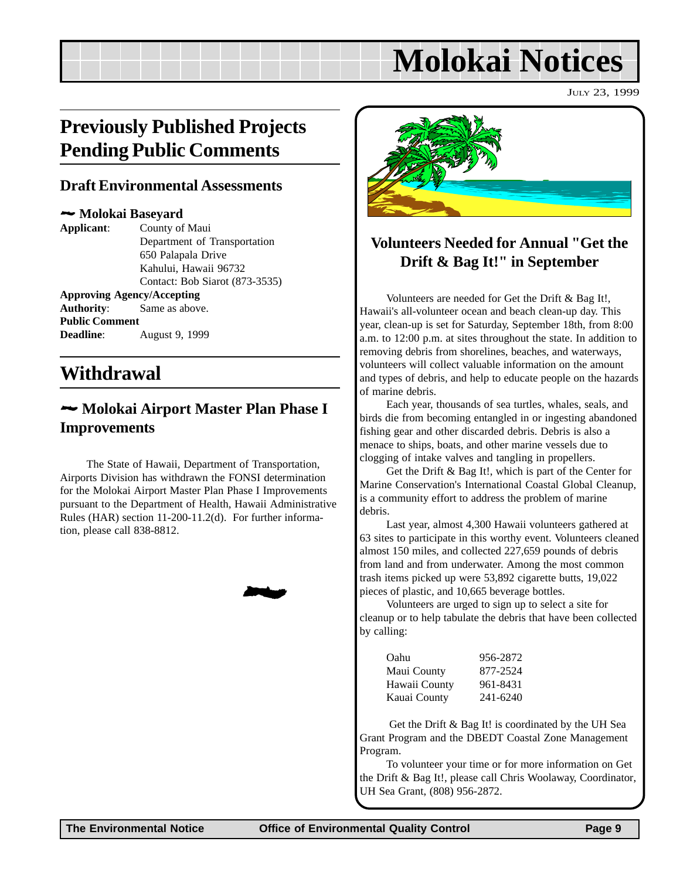## **Molokai Notices**

JULY 23, 1999

## **Previously Published Projects Pending Public Comments**

### **Draft Environmental Assessments**

#### 2 **Molokai Baseyard**

**Applicant**: County of Maui Department of Transportation 650 Palapala Drive Kahului, Hawaii 96732 Contact: Bob Siarot (873-3535) **Approving Agency/Accepting Authority**: Same as above. **Public Comment Deadline**: August 9, 1999

## **Withdrawal**

## 2 **Molokai Airport Master Plan Phase I Improvements**

The State of Hawaii, Department of Transportation, Airports Division has withdrawn the FONSI determination for the Molokai Airport Master Plan Phase I Improvements pursuant to the Department of Health, Hawaii Administrative Rules (HAR) section 11-200-11.2(d). For further information, please call 838-8812.

2



## **Volunteers Needed for Annual "Get the Drift & Bag It!" in September**

Volunteers are needed for Get the Drift & Bag It!, Hawaii's all-volunteer ocean and beach clean-up day. This year, clean-up is set for Saturday, September 18th, from 8:00 a.m. to 12:00 p.m. at sites throughout the state. In addition to removing debris from shorelines, beaches, and waterways, volunteers will collect valuable information on the amount and types of debris, and help to educate people on the hazards of marine debris.

Each year, thousands of sea turtles, whales, seals, and birds die from becoming entangled in or ingesting abandoned fishing gear and other discarded debris. Debris is also a menace to ships, boats, and other marine vessels due to clogging of intake valves and tangling in propellers.

Get the Drift & Bag It!, which is part of the Center for Marine Conservation's International Coastal Global Cleanup, is a community effort to address the problem of marine debris.

Last year, almost 4,300 Hawaii volunteers gathered at 63 sites to participate in this worthy event. Volunteers cleaned almost 150 miles, and collected 227,659 pounds of debris from land and from underwater. Among the most common trash items picked up were 53,892 cigarette butts, 19,022 pieces of plastic, and 10,665 beverage bottles.

Volunteers are urged to sign up to select a site for cleanup or to help tabulate the debris that have been collected by calling:

| Oahu          | 956-2872 |
|---------------|----------|
| Maui County   | 877-2524 |
| Hawaii County | 961-8431 |
| Kauai County  | 241-6240 |

 Get the Drift & Bag It! is coordinated by the UH Sea Grant Program and the DBEDT Coastal Zone Management Program.

To volunteer your time or for more information on Get the Drift & Bag It!, please call Chris Woolaway, Coordinator, UH Sea Grant, (808) 956-2872.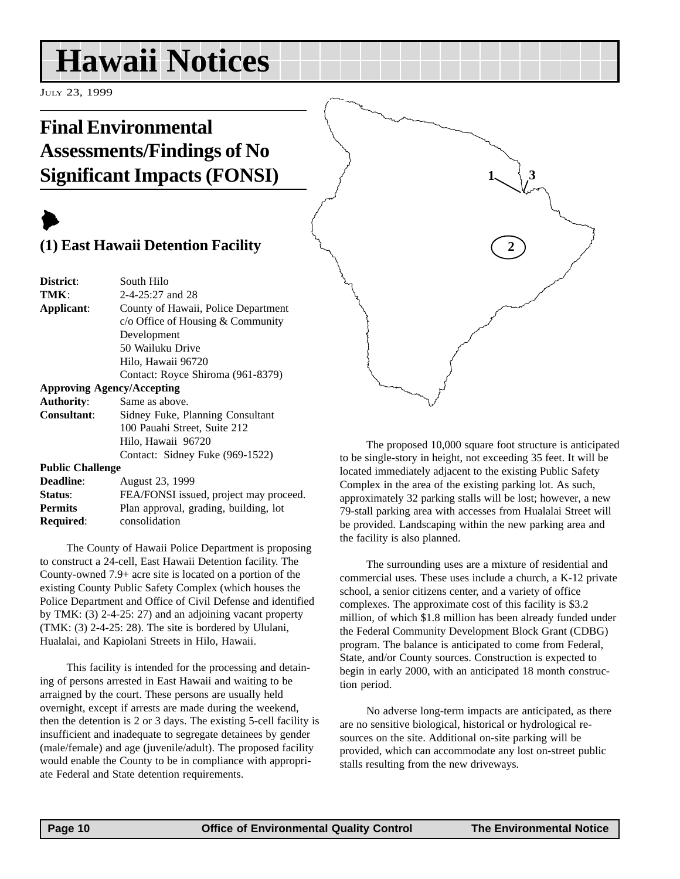## **Hawaii Notices**

JULY 23, 1999

## **Final Environmental Assessments/Findings of No Significant Impacts (FONSI)**

## $\blacktriangleright$

## **(1) East Hawaii Detention Facility**

| South Hilo                          |
|-------------------------------------|
| $2-4-25:27$ and 28                  |
| County of Hawaii, Police Department |
| $c$ Office of Housing & Community   |
| Development                         |
| 50 Wailuku Drive                    |
| Hilo, Hawaii 96720                  |
| Contact: Royce Shiroma (961-8379)   |
| <b>Approving Agency/Accepting</b>   |
| Same as above.                      |
| Sidney Fuke, Planning Consultant    |
|                                     |

|                  | 100 Pauahi Street, Suite 212    |
|------------------|---------------------------------|
|                  | Hilo, Hawaii 96720              |
|                  | Contact: Sidney Fuke (969-1522) |
| 1. L. L. CL. II. |                                 |

#### **Public Challenge**

| <b>Deadline:</b> | August 23, 1999                        |
|------------------|----------------------------------------|
| Status:          | FEA/FONSI issued, project may proceed. |
| <b>Permits</b>   | Plan approval, grading, building, lot  |
| <b>Required:</b> | consolidation                          |
|                  |                                        |

The County of Hawaii Police Department is proposing to construct a 24-cell, East Hawaii Detention facility. The County-owned 7.9+ acre site is located on a portion of the existing County Public Safety Complex (which houses the Police Department and Office of Civil Defense and identified by TMK: (3) 2-4-25: 27) and an adjoining vacant property (TMK: (3) 2-4-25: 28). The site is bordered by Ululani, Hualalai, and Kapiolani Streets in Hilo, Hawaii.

This facility is intended for the processing and detaining of persons arrested in East Hawaii and waiting to be arraigned by the court. These persons are usually held overnight, except if arrests are made during the weekend, then the detention is 2 or 3 days. The existing 5-cell facility is insufficient and inadequate to segregate detainees by gender (male/female) and age (juvenile/adult). The proposed facility would enable the County to be in compliance with appropriate Federal and State detention requirements.



The proposed 10,000 square foot structure is anticipated to be single-story in height, not exceeding 35 feet. It will be located immediately adjacent to the existing Public Safety Complex in the area of the existing parking lot. As such, approximately 32 parking stalls will be lost; however, a new 79-stall parking area with accesses from Hualalai Street will be provided. Landscaping within the new parking area and the facility is also planned.

The surrounding uses are a mixture of residential and commercial uses. These uses include a church, a K-12 private school, a senior citizens center, and a variety of office complexes. The approximate cost of this facility is \$3.2 million, of which \$1.8 million has been already funded under the Federal Community Development Block Grant (CDBG) program. The balance is anticipated to come from Federal, State, and/or County sources. Construction is expected to begin in early 2000, with an anticipated 18 month construction period.

No adverse long-term impacts are anticipated, as there are no sensitive biological, historical or hydrological resources on the site. Additional on-site parking will be provided, which can accommodate any lost on-street public stalls resulting from the new driveways.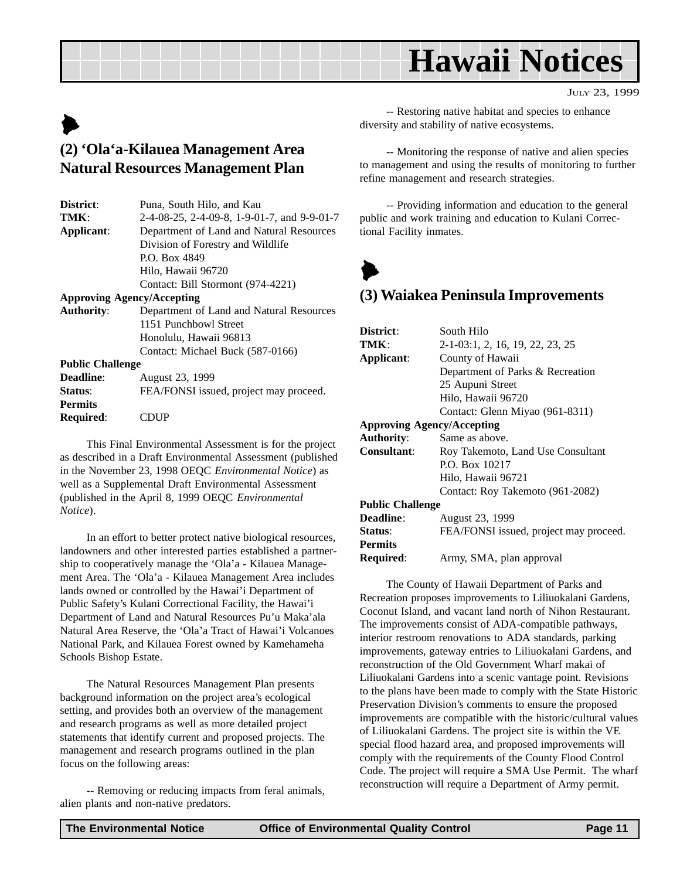## **Hawaii Notices**

## $\blacktriangleright$ **(2) 'Ola'a-Kilauea Management Area Natural Resources Management Plan**

| District:         | Puna, South Hilo, and Kau                   |
|-------------------|---------------------------------------------|
| TMK:              | 2-4-08-25, 2-4-09-8, 1-9-01-7, and 9-9-01-7 |
| Applicant:        | Department of Land and Natural Resources    |
|                   | Division of Forestry and Wildlife           |
|                   | P.O. Box 4849                               |
|                   | Hilo, Hawaii 96720                          |
|                   | Contact: Bill Stormont (974-4221)           |
|                   | <b>Approving Agency/Accepting</b>           |
| <b>Authority:</b> | Department of Land and Natural Resources    |
|                   | 1151 Punchbowl Street                       |
|                   | $H = 11 H = 20012$                          |

Honolulu, Hawaii 96813 Contact: Michael Buck (587-0166) **Public Challenge**

| <b>Deadline:</b> | August 23, 1999                        |
|------------------|----------------------------------------|
| Status:          | FEA/FONSI issued, project may proceed. |
| <b>Permits</b>   |                                        |
| <b>Required:</b> | <b>CDUP</b>                            |

This Final Environmental Assessment is for the project as described in a Draft Environmental Assessment (published in the November 23, 1998 OEQC *Environmental Notice*) as well as a Supplemental Draft Environmental Assessment (published in the April 8, 1999 OEQC *Environmental Notice*).

In an effort to better protect native biological resources, landowners and other interested parties established a partnership to cooperatively manage the 'Ola'a - Kilauea Management Area. The 'Ola'a - Kilauea Management Area includes lands owned or controlled by the Hawai'i Department of Public Safety's Kulani Correctional Facility, the Hawai'i Department of Land and Natural Resources Pu'u Maka'ala Natural Area Reserve, the 'Ola'a Tract of Hawai'i Volcanoes National Park, and Kilauea Forest owned by Kamehameha Schools Bishop Estate.

The Natural Resources Management Plan presents background information on the project area's ecological setting, and provides both an overview of the management and research programs as well as more detailed project statements that identify current and proposed projects. The management and research programs outlined in the plan focus on the following areas:

-- Removing or reducing impacts from feral animals, alien plants and non-native predators.

-- Restoring native habitat and species to enhance diversity and stability of native ecosystems.

-- Monitoring the response of native and alien species to management and using the results of monitoring to further refine management and research strategies.

-- Providing information and education to the general public and work training and education to Kulani Correctional Facility inmates.

 $\blacktriangleright$ 

## **(3) Waiakea Peninsula Improvements**

| District:               | South Hilo                             |
|-------------------------|----------------------------------------|
| TMK:                    | 2-1-03:1, 2, 16, 19, 22, 23, 25        |
| Applicant:              | County of Hawaii                       |
|                         | Department of Parks & Recreation       |
|                         | 25 Aupuni Street                       |
|                         | Hilo, Hawaii 96720                     |
|                         | Contact: Glenn Miyao (961-8311)        |
|                         | <b>Approving Agency/Accepting</b>      |
| <b>Authority:</b>       | Same as above.                         |
| <b>Consultant:</b>      | Roy Takemoto, Land Use Consultant      |
|                         | P.O. Box 10217                         |
|                         | Hilo, Hawaii 96721                     |
|                         | Contact: Roy Takemoto (961-2082)       |
| <b>Public Challenge</b> |                                        |
| Deadline:               | August 23, 1999                        |
| Status:                 | FEA/FONSI issued, project may proceed. |
| <b>Permits</b>          |                                        |
| Required:               | Army, SMA, plan approval               |

The County of Hawaii Department of Parks and Recreation proposes improvements to Liliuokalani Gardens, Coconut Island, and vacant land north of Nihon Restaurant. The improvements consist of ADA-compatible pathways, interior restroom renovations to ADA standards, parking improvements, gateway entries to Liliuokalani Gardens, and reconstruction of the Old Government Wharf makai of Liliuokalani Gardens into a scenic vantage point. Revisions to the plans have been made to comply with the State Historic Preservation Division's comments to ensure the proposed improvements are compatible with the historic/cultural values of Liliuokalani Gardens. The project site is within the VE special flood hazard area, and proposed improvements will comply with the requirements of the County Flood Control Code. The project will require a SMA Use Permit. The wharf reconstruction will require a Department of Army permit.

JULY 23, 1999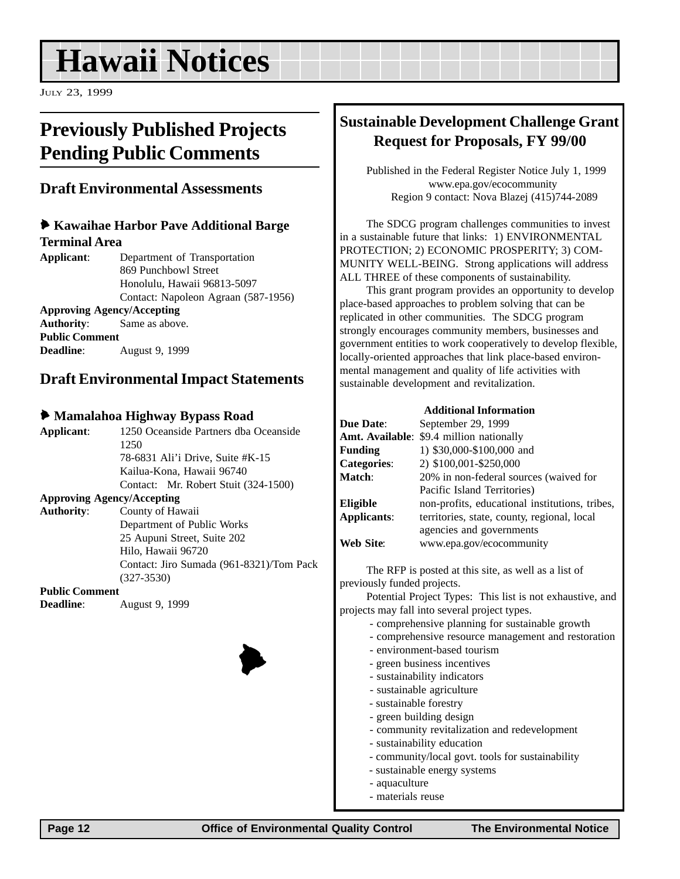## **Hawaii Notices**

JULY 23, 1999

## **Previously Published Projects Pending Public Comments**

### **Draft Environmental Assessments**

#### 6 **Kawaihae Harbor Pave Additional Barge Terminal Area**

**Applicant**: Department of Transportation 869 Punchbowl Street Honolulu, Hawaii 96813-5097 Contact: Napoleon Agraan (587-1956) **Approving Agency/Accepting Authority**: Same as above. **Public Comment Deadline**: August 9, 1999

## **Draft Environmental Impact Statements**

#### 6 **Mamalahoa Highway Bypass Road**

| Applicant:            | 1250 Oceanside Partners dha Oceanside    |
|-----------------------|------------------------------------------|
|                       | 1250                                     |
|                       | 78-6831 Ali'i Drive, Suite #K-15         |
|                       | Kailua-Kona, Hawaii 96740                |
|                       | Contact: Mr. Robert Stuit (324-1500)     |
|                       | <b>Approving Agency/Accepting</b>        |
| <b>Authority:</b>     | County of Hawaii                         |
|                       | Department of Public Works               |
|                       | 25 Aupuni Street, Suite 202              |
|                       | Hilo, Hawaii 96720                       |
|                       | Contact: Jiro Sumada (961-8321)/Tom Pack |
|                       | $(327 - 3530)$                           |
| <b>Public Comment</b> |                                          |
| <b>Deadline:</b>      | August 9, 1999                           |



## **Sustainable Development Challenge Grant Request for Proposals, FY 99/00**

Published in the Federal Register Notice July 1, 1999 www.epa.gov/ecocommunity Region 9 contact: Nova Blazej (415)744-2089

The SDCG program challenges communities to invest in a sustainable future that links: 1) ENVIRONMENTAL PROTECTION; 2) ECONOMIC PROSPERITY; 3) COM-MUNITY WELL-BEING. Strong applications will address ALL THREE of these components of sustainability.

This grant program provides an opportunity to develop place-based approaches to problem solving that can be replicated in other communities. The SDCG program strongly encourages community members, businesses and government entities to work cooperatively to develop flexible, locally-oriented approaches that link place-based environmental management and quality of life activities with sustainable development and revitalization.

|                    | <b>Additional Information</b>                  |
|--------------------|------------------------------------------------|
| <b>Due Date:</b>   | September 29, 1999                             |
|                    | Amt. Available: \$9.4 million nationally       |
| <b>Funding</b>     | 1) \$30,000-\$100,000 and                      |
| <b>Categories:</b> | 2) \$100,001-\$250,000                         |
| Match:             | 20% in non-federal sources (waived for         |
|                    | Pacific Island Territories)                    |
| Eligible           | non-profits, educational institutions, tribes, |
| Applicants:        | territories, state, county, regional, local    |
|                    | agencies and governments                       |
| Web Site:          | www.epa.gov/ecocommunity                       |

The RFP is posted at this site, as well as a list of previously funded projects.

Potential Project Types: This list is not exhaustive, and projects may fall into several project types.

- comprehensive planning for sustainable growth
- comprehensive resource management and restoration
- environment-based tourism
- green business incentives
- sustainability indicators
- sustainable agriculture
- sustainable forestry
- green building design
- community revitalization and redevelopment
- sustainability education
- community/local govt. tools for sustainability
- sustainable energy systems
- aquaculture
- materials reuse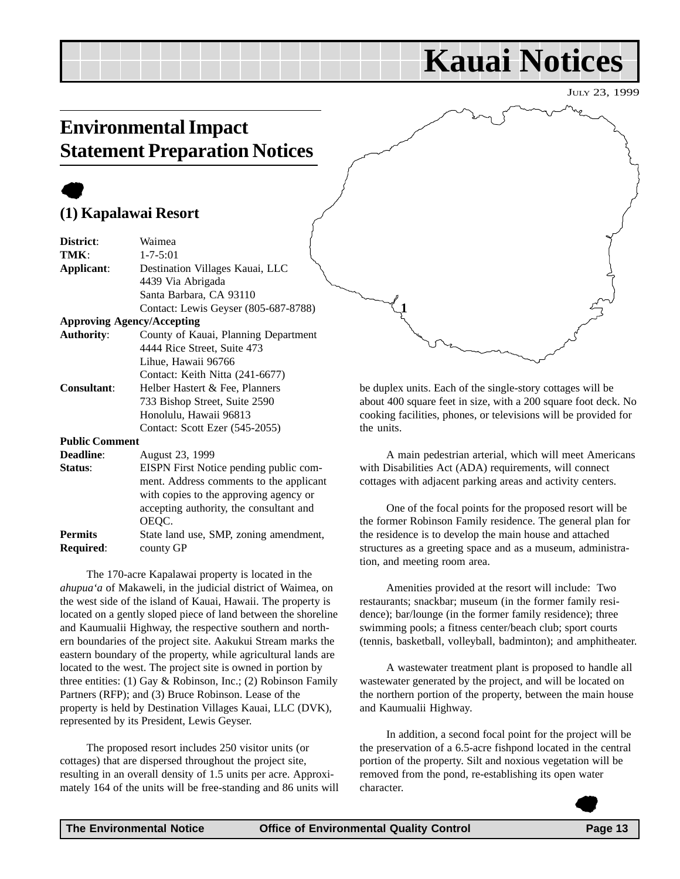## **Kauai Notices**

JULY 23, 1999

## **Environmental Impact Statement Preparation Notices**

## $\bullet$ **(1) Kapalawai Resort**

| District:             | Waimea                                 |
|-----------------------|----------------------------------------|
| TMK:                  | $1 - 7 - 5:01$                         |
| Applicant:            | Destination Villages Kauai, LLC        |
|                       | 4439 Via Abrigada                      |
|                       | Santa Barbara, CA 93110                |
|                       | Contact: Lewis Geyser (805-687-8788)   |
|                       | <b>Approving Agency/Accepting</b>      |
| <b>Authority:</b>     | County of Kauai, Planning Department   |
|                       | 4444 Rice Street, Suite 473            |
|                       | Lihue, Hawaii 96766                    |
|                       | Contact: Keith Nitta (241-6677)        |
| <b>Consultant:</b>    | Helber Hastert & Fee, Planners         |
|                       | 733 Bishop Street, Suite 2590          |
|                       | Honolulu, Hawaii 96813                 |
|                       | Contact: Scott Ezer (545-2055)         |
| <b>Public Comment</b> |                                        |
| <b>Deadline:</b>      | August 23, 1999                        |
| Status:               | EISPN First Notice pending public com- |
|                       |                                        |

ment. Address comments to the applicant with copies to the approving agency or accepting authority, the consultant and OEQC. **Permits** State land use, SMP, zoning amendment, **Required**: county GP

The 170-acre Kapalawai property is located in the *ahupua'a* of Makaweli, in the judicial district of Waimea, on the west side of the island of Kauai, Hawaii. The property is located on a gently sloped piece of land between the shoreline and Kaumualii Highway, the respective southern and northern boundaries of the project site. Aakukui Stream marks the eastern boundary of the property, while agricultural lands are located to the west. The project site is owned in portion by three entities: (1) Gay & Robinson, Inc.; (2) Robinson Family Partners (RFP); and (3) Bruce Robinson. Lease of the property is held by Destination Villages Kauai, LLC (DVK), represented by its President, Lewis Geyser.

The proposed resort includes 250 visitor units (or cottages) that are dispersed throughout the project site, resulting in an overall density of 1.5 units per acre. Approximately 164 of the units will be free-standing and 86 units will be duplex units. Each of the single-story cottages will be about 400 square feet in size, with a 200 square foot deck. No cooking facilities, phones, or televisions will be provided for the units.

**1**

A main pedestrian arterial, which will meet Americans with Disabilities Act (ADA) requirements, will connect cottages with adjacent parking areas and activity centers.

One of the focal points for the proposed resort will be the former Robinson Family residence. The general plan for the residence is to develop the main house and attached structures as a greeting space and as a museum, administration, and meeting room area.

Amenities provided at the resort will include: Two restaurants; snackbar; museum (in the former family residence); bar/lounge (in the former family residence); three swimming pools; a fitness center/beach club; sport courts (tennis, basketball, volleyball, badminton); and amphitheater.

A wastewater treatment plant is proposed to handle all wastewater generated by the project, and will be located on the northern portion of the property, between the main house and Kaumualii Highway.

In addition, a second focal point for the project will be the preservation of a 6.5-acre fishpond located in the central portion of the property. Silt and noxious vegetation will be removed from the pond, re-establishing its open water character.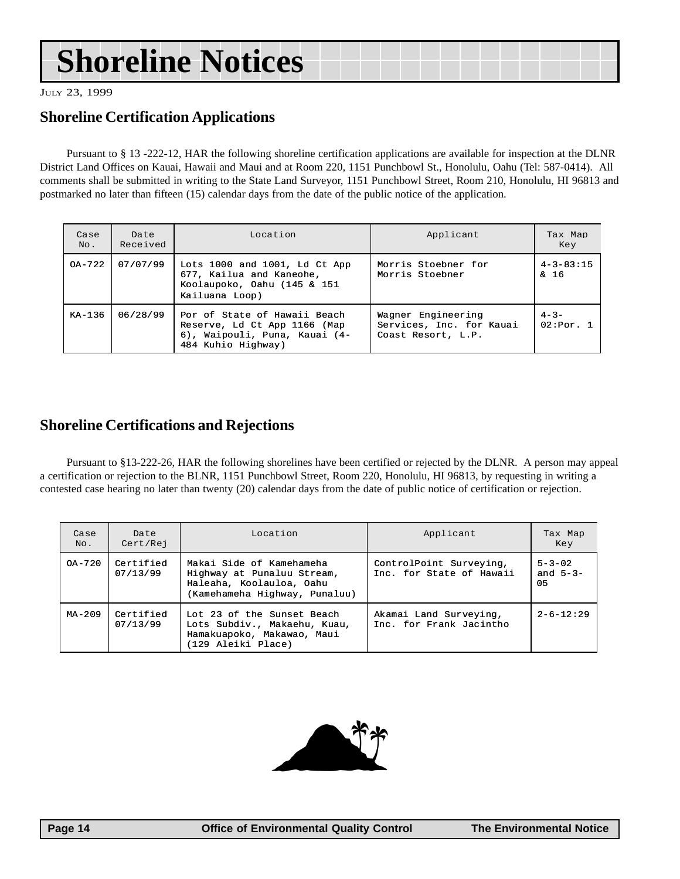## **Shoreline Notices**

JULY 23, 1999

## **Shoreline Certification Applications**

Pursuant to § 13 -222-12, HAR the following shoreline certification applications are available for inspection at the DLNR District Land Offices on Kauai, Hawaii and Maui and at Room 220, 1151 Punchbowl St., Honolulu, Oahu (Tel: 587-0414). All comments shall be submitted in writing to the State Land Surveyor, 1151 Punchbowl Street, Room 210, Honolulu, HI 96813 and postmarked no later than fifteen (15) calendar days from the date of the public notice of the application.

| Case<br>No. | Date<br>Received                                                                                                                | Location                                                                                                   | Applicant                                                            | Tax Map<br>Key                      |
|-------------|---------------------------------------------------------------------------------------------------------------------------------|------------------------------------------------------------------------------------------------------------|----------------------------------------------------------------------|-------------------------------------|
| $OA - 722$  | 07/07/99                                                                                                                        | Lots 1000 and 1001, Ld Ct App<br>677, Kailua and Kaneohe,<br>Koolaupoko, Oahu (145 & 151<br>Kailuana Loop) | Morris Stoebner for<br>Morris Stoebner                               | $4 - 3 - 83:15$<br>$\frac{6}{4}$ 16 |
| $KA-136$    | 06/28/99<br>Por of State of Hawaii Beach<br>Reserve, Ld Ct App 1166 (Map<br>6), Waipouli, Puna, Kauai (4-<br>484 Kuhio Highway) |                                                                                                            | Wagner Engineering<br>Services, Inc. for Kauai<br>Coast Resort, L.P. | $4 - 3 -$<br>02:Por. 1              |

### **Shoreline Certifications and Rejections**

Pursuant to §13-222-26, HAR the following shorelines have been certified or rejected by the DLNR. A person may appeal a certification or rejection to the BLNR, 1151 Punchbowl Street, Room 220, Honolulu, HI 96813, by requesting in writing a contested case hearing no later than twenty (20) calendar days from the date of public notice of certification or rejection.

| Case<br>No. | Date<br>Cert/Rej      | Location                                                                                                            | Applicant                                           | Tax Map<br>Key                   |
|-------------|-----------------------|---------------------------------------------------------------------------------------------------------------------|-----------------------------------------------------|----------------------------------|
| $OA - 720$  | Certified<br>07/13/99 | Makai Side of Kamehameha<br>Highway at Punaluu Stream,<br>Haleaha, Koolauloa, Oahu<br>(Kamehameha Highway, Punaluu) | ControlPoint Surveying,<br>Inc. for State of Hawaii | $5 - 3 - 02$<br>and $5-3-$<br>05 |
| $MA - 209$  | Certified<br>07/13/99 | Lot 23 of the Sunset Beach<br>Lots Subdiv., Makaehu, Kuau,<br>Hamakuapoko, Makawao, Maui<br>(129 Aleiki Place)      | Akamai Land Surveying,<br>Inc. for Frank Jacintho   | $2 - 6 - 12:29$                  |

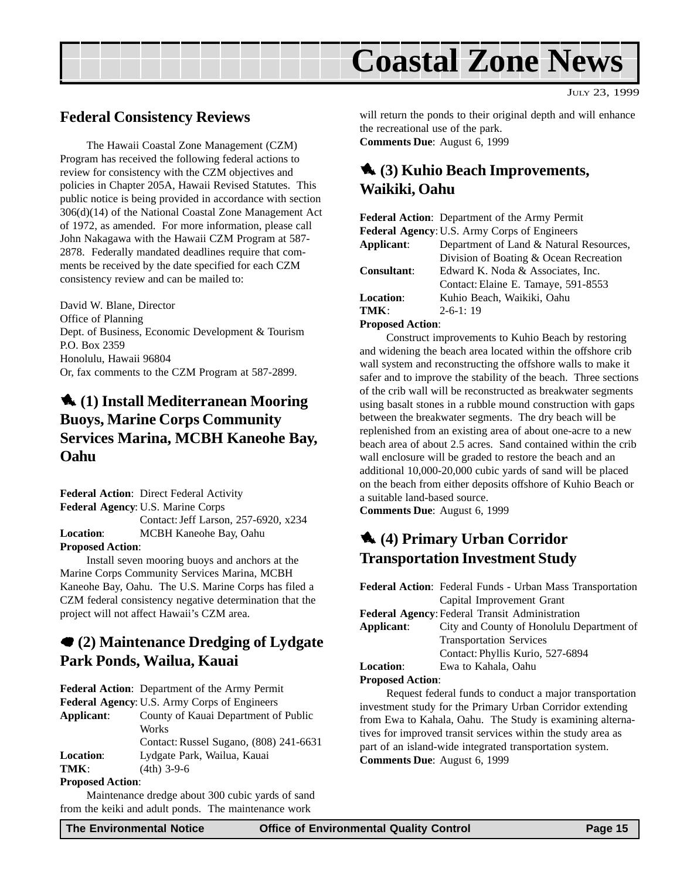

## **Federal Consistency Reviews**

The Hawaii Coastal Zone Management (CZM) Program has received the following federal actions to review for consistency with the CZM objectives and policies in Chapter 205A, Hawaii Revised Statutes. This public notice is being provided in accordance with section 306(d)(14) of the National Coastal Zone Management Act of 1972, as amended. For more information, please call John Nakagawa with the Hawaii CZM Program at 587- 2878. Federally mandated deadlines require that comments be received by the date specified for each CZM consistency review and can be mailed to:

David W. Blane, Director Office of Planning Dept. of Business, Economic Development & Tourism P.O. Box 2359 Honolulu, Hawaii 96804 Or, fax comments to the CZM Program at 587-2899.

## 1 **(1) Install Mediterranean Mooring Buoys, Marine Corps Community Services Marina, MCBH Kaneohe Bay, Oahu**

**Federal Action**: Direct Federal Activity **Federal Agency**: U.S. Marine Corps Contact: Jeff Larson, 257-6920, x234 **Location**: MCBH Kaneohe Bay, Oahu **Proposed Action**:

Install seven mooring buoys and anchors at the Marine Corps Community Services Marina, MCBH Kaneohe Bay, Oahu. The U.S. Marine Corps has filed a CZM federal consistency negative determination that the project will not affect Hawaii's CZM area.

## 7 **(2) Maintenance Dredging of Lydgate Park Ponds, Wailua, Kauai**

**Federal Action**: Department of the Army Permit **Federal Agency**: U.S. Army Corps of Engineers

**Applicant**: County of Kauai Department of Public Works Contact: Russel Sugano, (808) 241-6631

**Location**: Lydgate Park, Wailua, Kauai

**TMK**: (4th) 3-9-6

#### **Proposed Action**:

Maintenance dredge about 300 cubic yards of sand from the keiki and adult ponds. The maintenance work

will return the ponds to their original depth and will enhance the recreational use of the park. **Comments Due**: August 6, 1999

## 1 **(3) Kuhio Beach Improvements, Waikiki, Oahu**

**Federal Action**: Department of the Army Permit **Federal Agency**:U.S. Army Corps of Engineers **Applicant**: Department of Land & Natural Resources, Division of Boating & Ocean Recreation **Consultant**: Edward K. Noda & Associates, Inc. Contact: Elaine E. Tamaye, 591-8553 Location: Kuhio Beach, Waikiki, Oahu **TMK**: 2-6-1: 19

#### **Proposed Action**:

Construct improvements to Kuhio Beach by restoring and widening the beach area located within the offshore crib wall system and reconstructing the offshore walls to make it safer and to improve the stability of the beach. Three sections of the crib wall will be reconstructed as breakwater segments using basalt stones in a rubble mound construction with gaps between the breakwater segments. The dry beach will be replenished from an existing area of about one-acre to a new beach area of about 2.5 acres. Sand contained within the crib wall enclosure will be graded to restore the beach and an additional 10,000-20,000 cubic yards of sand will be placed on the beach from either deposits offshore of Kuhio Beach or a suitable land-based source.

**Comments Due**: August 6, 1999

## 1 **(4) Primary Urban Corridor Transportation Investment Study**

|                                                        | <b>Federal Action:</b> Federal Funds - Urban Mass Transportation |  |  |
|--------------------------------------------------------|------------------------------------------------------------------|--|--|
|                                                        | Capital Improvement Grant                                        |  |  |
| <b>Federal Agency: Federal Transit Administration</b>  |                                                                  |  |  |
| Applicant:                                             | City and County of Honolulu Department of                        |  |  |
|                                                        | <b>Transportation Services</b>                                   |  |  |
|                                                        | Contact: Phyllis Kurio, 527-6894                                 |  |  |
| <b>Location:</b>                                       | Ewa to Kahala, Oahu                                              |  |  |
| <b>Proposed Action:</b>                                |                                                                  |  |  |
| Dequest folged funds to conduct a major transportation |                                                                  |  |  |

Request federal funds to conduct a major transportation investment study for the Primary Urban Corridor extending from Ewa to Kahala, Oahu. The Study is examining alternatives for improved transit services within the study area as part of an island-wide integrated transportation system. **Comments Due**: August 6, 1999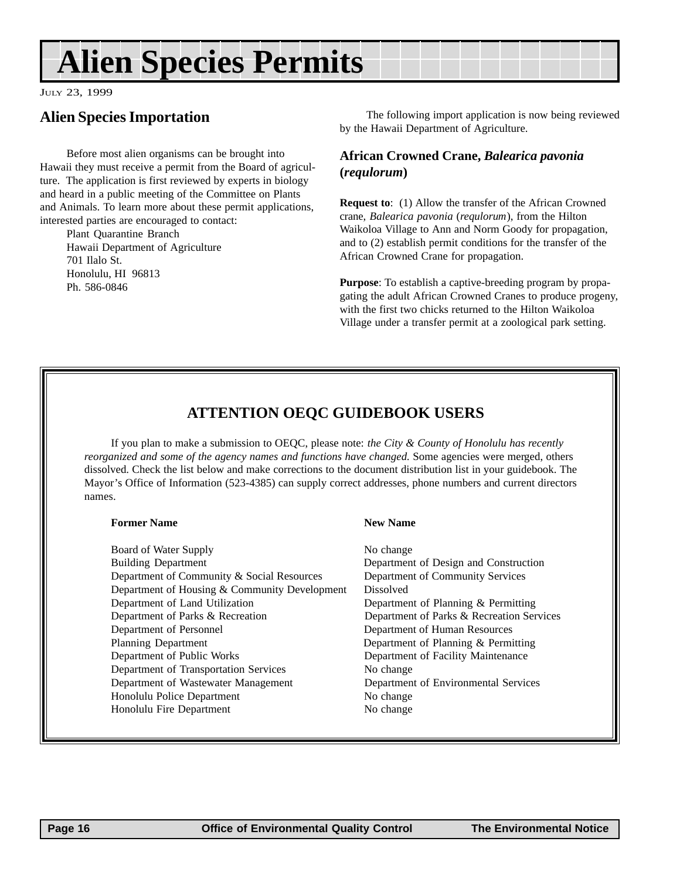## **Alien Species Permits**

JULY 23, 1999

## **Alien Species Importation**

Before most alien organisms can be brought into Hawaii they must receive a permit from the Board of agriculture. The application is first reviewed by experts in biology and heard in a public meeting of the Committee on Plants and Animals. To learn more about these permit applications, interested parties are encouraged to contact:

Plant Quarantine Branch Hawaii Department of Agriculture 701 Ilalo St. Honolulu, HI 96813 Ph. 586-0846

The following import application is now being reviewed by the Hawaii Department of Agriculture.

#### **African Crowned Crane,** *Balearica pavonia* **(***requlorum***)**

**Request to**: (1) Allow the transfer of the African Crowned crane, *Balearica pavonia* (*requlorum*), from the Hilton Waikoloa Village to Ann and Norm Goody for propagation, and to (2) establish permit conditions for the transfer of the African Crowned Crane for propagation.

**Purpose**: To establish a captive-breeding program by propagating the adult African Crowned Cranes to produce progeny, with the first two chicks returned to the Hilton Waikoloa Village under a transfer permit at a zoological park setting.

## **ATTENTION OEQC GUIDEBOOK USERS**

If you plan to make a submission to OEQC, please note: *the City & County of Honolulu has recently reorganized and some of the agency names and functions have changed.* Some agencies were merged, others dissolved. Check the list below and make corrections to the document distribution list in your guidebook. The Mayor's Office of Information (523-4385) can supply correct addresses, phone numbers and current directors names.

#### **Former Name New Name New Name**

Board of Water Supply No change Building Department Department of Design and Construction Department of Community & Social Resources Department of Community Services Department of Housing & Community Development Dissolved Department of Land Utilization Department of Planning & Permitting Department of Parks & Recreation Department of Parks & Recreation Services Department of Personnel Department of Human Resources Planning Department Department Department of Planning & Permitting Department of Public Works Department of Facility Maintenance Department of Transportation Services No change Department of Wastewater Management Department of Environmental Services Honolulu Police Department No change Honolulu Fire Department No change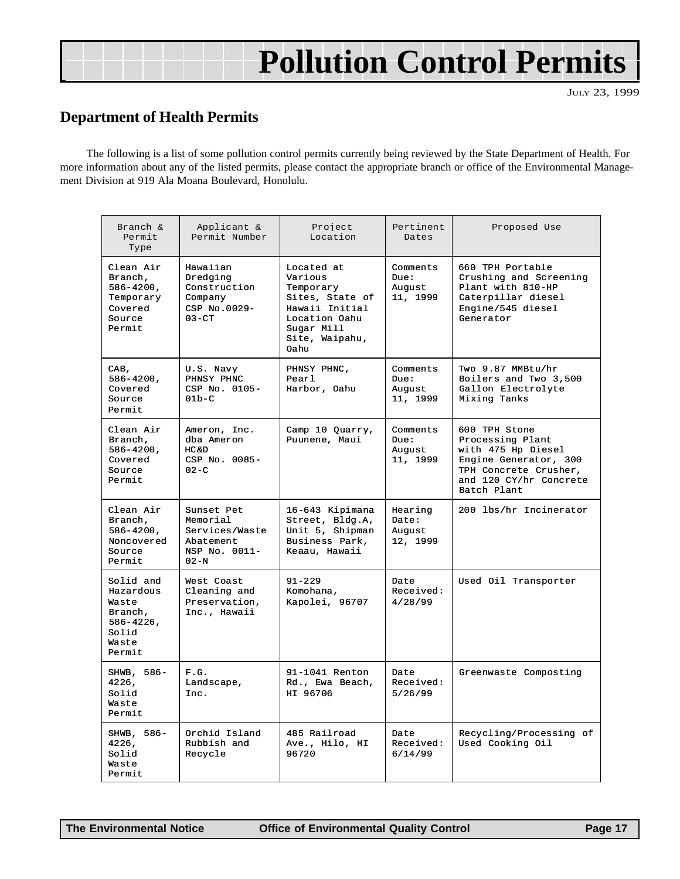## **Pollution Control Permits**

JULY 23, 1999

## **Department of Health Permits**

The following is a list of some pollution control permits currently being reviewed by the State Department of Health. For more information about any of the listed permits, please contact the appropriate branch or office of the Environmental Management Division at 919 Ala Moana Boulevard, Honolulu.

| Branch $\&$<br>Permit<br>Type                                                            | Applicant &<br>Permit Number                                                     | Project<br>Location                                                                                                              | Pertinent<br>Dates                     | Proposed Use                                                                                                                                       |
|------------------------------------------------------------------------------------------|----------------------------------------------------------------------------------|----------------------------------------------------------------------------------------------------------------------------------|----------------------------------------|----------------------------------------------------------------------------------------------------------------------------------------------------|
| Clean Air<br>Branch,<br>$586 - 4200,$<br>Temporary<br>Covered<br>Source<br>Permit        | Hawaiian<br>Dredging<br>Construction<br>Company<br>CSP No.0029-<br>$03 - CT$     | Located at<br>Various<br>Temporary<br>Sites, State of<br>Hawaii Initial<br>Location Oahu<br>Sugar Mill<br>Site, Waipahu,<br>Oahu | Comments<br>Due:<br>Auqust<br>11, 1999 | 660 TPH Portable<br>Crushing and Screening<br>Plant with 810-HP<br>Caterpillar diesel<br>Engine/545 diesel<br>Generator                            |
| CAB,<br>586-4200,<br>Covered<br>Source<br>Permit                                         | U.S. Navy<br>PHNSY PHNC<br>CSP No. 0105-<br>$01b-C$                              | PHNSY PHNC,<br>Pearl<br>Harbor, Oahu                                                                                             | Comments<br>Due:<br>August<br>11, 1999 | Two 9.87 MMBtu/hr<br>Boilers and Two 3,500<br>Gallon Electrolyte<br>Mixing Tanks                                                                   |
| Clean Air<br>Branch,<br>$586 - 4200$ ,<br>Covered<br>Source<br>Permit                    | Ameron, Inc.<br>dba Ameron<br>$HC$ & $D$<br>CSP No. 0085-<br>$02-C$              | Camp 10 Quarry,<br>Puunene, Maui                                                                                                 | Comments<br>Due:<br>August<br>11, 1999 | 600 TPH Stone<br>Processing Plant<br>with 475 Hp Diesel<br>Engine Generator, 300<br>TPH Concrete Crusher,<br>and 120 CY/hr Concrete<br>Batch Plant |
| Clean Air<br>Branch,<br>$586 - 4200$ ,<br>Noncovered<br>Source<br>Permit                 | Sunset Pet<br>Memorial<br>Services/Waste<br>Abatement<br>NSP No. 0011-<br>$02-N$ | 16-643 Kipimana<br>Street, Bldg.A,<br>Unit 5, Shipman<br>Business Park,<br>Keaau, Hawaii                                         | Hearing<br>Date:<br>August<br>12, 1999 | 200 lbs/hr Incinerator                                                                                                                             |
| Solid and<br>Hazardous<br>Waste<br>Branch,<br>$586 - 4226$ ,<br>Solid<br>Waste<br>Permit | West Coast<br>Cleaning and<br>Preservation,<br>Inc., Hawaii                      | $91 - 229$<br>Komohana,<br>Kapolei, 96707                                                                                        | Date<br>Received:<br>4/28/99           | Used Oil Transporter                                                                                                                               |
| SHWB, 586-<br>4226,<br>Solid<br>Waste<br>Permit                                          | F.G.<br>Landscape,<br>Inc.                                                       | 91-1041 Renton<br>Rd., Ewa Beach,<br>HI 96706                                                                                    | Date<br>Received:<br>5/26/99           | Greenwaste Composting                                                                                                                              |
| SHWB, 586-<br>4226,<br>Solid<br>Waste<br>Permit                                          | Orchid Island<br>Rubbish and<br>Recycle                                          | 485 Railroad<br>Ave., Hilo, HI<br>96720                                                                                          | Date<br>Received:<br>6/14/99           | Recycling/Processing of<br>Used Cooking Oil                                                                                                        |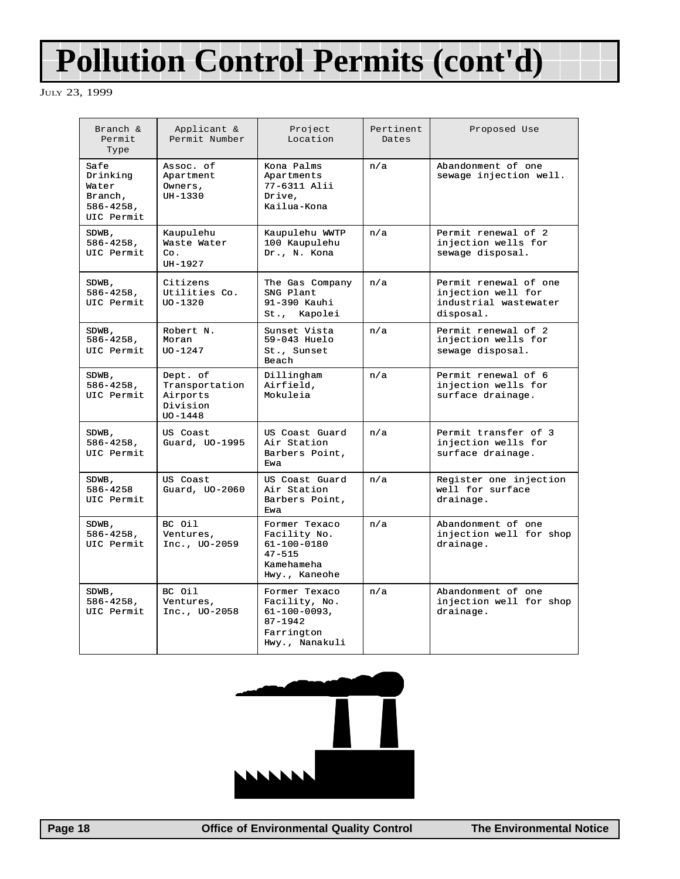## **Pollution Control Permits (cont'd)**

JULY 23, 1999

| Branch &<br>Permit<br>Type                                           | Applicant &<br>Permit Number                                      | Project<br>Location                                                                                 | Pertinent<br>Dates | Proposed Use                                                                      |
|----------------------------------------------------------------------|-------------------------------------------------------------------|-----------------------------------------------------------------------------------------------------|--------------------|-----------------------------------------------------------------------------------|
| Safe<br>Drinking<br>Water<br>Branch,<br>$586 - 4258$ ,<br>UIC Permit | Assoc. of<br>Apartment<br>Owners,<br>$UH-1330$                    | Kona Palms<br>Apartments<br>77-6311 Alii<br>Drive.<br>Kailua-Kona                                   | n/a                | Abandonment of one<br>sewage injection well.                                      |
| SDWB,<br>$586 - 4258$ ,<br>UIC Permit                                | Kaupulehu<br>Waste Water<br>Co.<br>$IJI - 1927$                   | Kaupulehu WWTP<br>100 Kaupulehu<br>Dr., N. Kona                                                     | n/a                | Permit renewal of 2<br>injection wells for<br>sewage disposal.                    |
| SDWB,<br>$586 - 4258$ ,<br>UIC Permit                                | Citizens<br>Utilities Co.<br>$UO - 1320$                          | The Gas Company<br>SNG Plant<br>91-390 Kauhi<br>St., Kapolei                                        | n/a                | Permit renewal of one<br>injection well for<br>industrial wastewater<br>disposal. |
| SDWB,<br>$586 - 4258$ ,<br>UIC Permit                                | Robert N.<br>Moran<br>$UO - 1247$                                 | Sunset Vista<br>59-043 Huelo<br>St., Sunset<br>Beach                                                | n/a                | Permit renewal of 2<br>injection wells for<br>sewage disposal.                    |
| SDWB,<br>$586 - 4258$ ,<br>UIC Permit                                | Dept. of<br>Transportation<br>Airports<br>Division<br>$UO - 1448$ | Dillingham<br>Airfield,<br>Mokuleia                                                                 | n/a                | Permit renewal of 6<br>injection wells for<br>surface drainage.                   |
| SDWB,<br>$586 - 4258$ ,<br>UIC Permit                                | US Coast<br>Guard, UO-1995                                        | US Coast Guard<br>Air Station<br>Barbers Point,<br>Ewa                                              | n/a                | Permit transfer of 3<br>injection wells for<br>surface drainage.                  |
| SDWB,<br>586-4258<br>UIC Permit                                      | US Coast<br>Guard, UO-2060                                        | US Coast Guard<br>Air Station<br>Barbers Point,<br>Ewa                                              | n/a                | Register one injection<br>well for surface<br>drainage.                           |
| SDWB,<br>$586 - 4258$ ,<br>UIC Permit                                | BC Oil<br>Ventures,<br>Inc., UO-2059                              | Former Texaco<br>Facility No.<br>$61 - 100 - 0180$<br>$47 - 515$<br>Kamehameha<br>Hwy., Kaneohe     | n/a                | Abandonment of one<br>injection well for shop<br>drainage.                        |
| SDWB,<br>$586 - 4258$ ,<br>UIC Permit                                | BC Oil<br>Ventures,<br>Inc., UO-2058                              | Former Texaco<br>Facility, No.<br>$61 - 100 - 0093,$<br>$87 - 1942$<br>Farrington<br>Hwy., Nanakuli | n/a                | Abandonment of one<br>injection well for shop<br>drainage.                        |



 **Page 18 Control Page 18 Control Page 18 Control Page 18 Control Page 18 Control Page 18 Control Page 18 Control Page 18 Control Page 18 Control Page 18 Control Page 18 Control Page 18 Control Page**